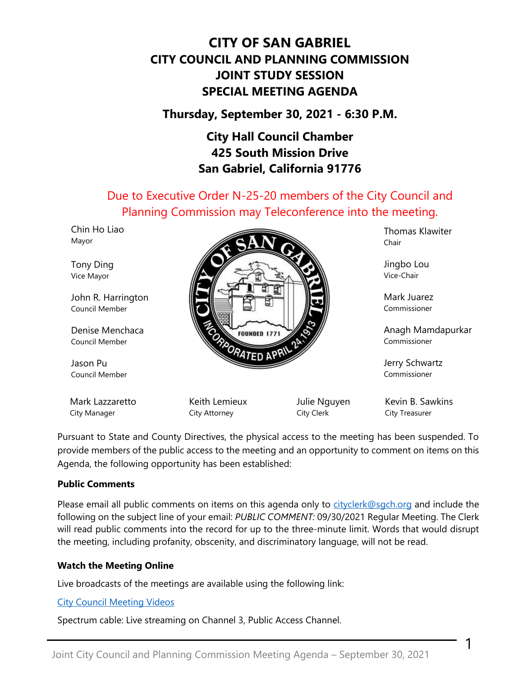# **CITY OF SAN GABRIEL CITY COUNCIL AND PLANNING COMMISSION JOINT STUDY SESSION SPECIAL MEETING AGENDA**

## **Thursday, September 30, 2021 - 6:30 P.M.**

## **City Hall Council Chamber 425 South Mission Drive San Gabriel, California 91776**

Due to Executive Order N-25-20 members of the City Council and Planning Commission may Teleconference into the meeting.

| שום טווייט<br>Mayor                  |                                |                                   | Thomas Nawiter<br>Chair            |
|--------------------------------------|--------------------------------|-----------------------------------|------------------------------------|
| Tony Ding<br>Vice Mayor              |                                |                                   | Jingbo Lou<br>Vice-Chair           |
| John R. Harrington<br>Council Member |                                | Mark Juarez<br>Commissioner       |                                    |
| Denise Menchaca<br>Council Member    | <b>FOUNDED 1771</b>            | Anagh Mamdapurkar<br>Commissioner |                                    |
| Jason Pu<br>Council Member           | <b>TED APRIL</b>               |                                   | Jerry Schwartz<br>Commissioner     |
| Mark Lazzaretto<br>City Manager      | Keith Lemieux<br>City Attorney | Julie Nguyen<br>City Clerk        | Kevin B. Sawkins<br>City Treasurer |

Pursuant to State and County Directives, the physical access to the meeting has been suspended. To provide members of the public access to the meeting and an opportunity to comment on items on this Agenda, the following opportunity has been established:

#### **Public Comments**

Chin Holian

Please email all public comments on items on this agenda only to [cityclerk@sgch.org](mailto:cityclerk@sgch.org) and include the following on the subject line of your email: *PUBLIC COMMENT:* 09/30/2021 Regular Meeting. The Clerk will read public comments into the record for up to the three-minute limit. Words that would disrupt the meeting, including profanity, obscenity, and discriminatory language, will not be read.

1

Thomas Klawiter

#### **Watch the Meeting Online**

Live broadcasts of the meetings are available using the following link:

[City Council Meeting Videos](https://www.youtube.com/CityofSanGabriel)

Spectrum cable: Live streaming on Channel 3, Public Access Channel.